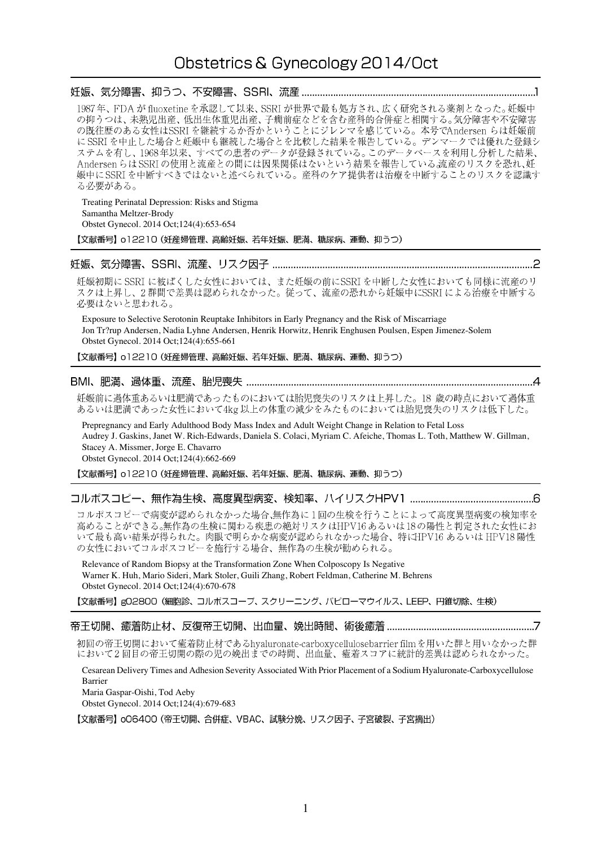# Obstetrics & Gynecology 2014/Oct

1987年、FDAが fluoxetine を承認して以来、SSRI が世界で最も処方され、広く研究される薬剤となった。妊娠中 の抑うつは、未熟児出産、低出生体重児出産、子癇前症などを含む産科的合併症と相関する。気分障害や不安障害 の既往歴のある女性はSSRIを継続するか否かということにジレンマを感じている。本号でAndersen らは妊娠前 し以上にいいした場合と妊娠中も継続した場合とを比較した結果を報告している。デンマークでは優れた登録シに SSRI を中止した場合と妊娠中も継続した場合とを比較した結果を報告している。デンマークでは優れた登録システムを有し、1968 年以来、すべての患者のデータが登録されている。このデータベースを利用し分析した結果、 Andersen らは SSRI の使用と流産との間には因果関係はないという結果を報告している流産のリスクを恐れ、妊 娠中に SSRI を中断すべきではないと述べられている。産科のケア提供者は治療を中断することのリスクを認識す る必要がある。

Treating Perinatal Depression: Risks and Stigma Samantha Meltzer-Brody Obstet Gynecol. 2014 Oct;124(4):653-654 【文献番号】o12210 (妊産婦管理、高齢妊娠、若年妊娠、肥満、糖尿病、運動、抑うつ)

妊娠初期に SSRI に被ばくした女性においては、また妊娠の前にSSRI を中断した女性においても同様に流産のリ スクは上昇し、2群間で差異は認められなかった。従って、流産の恐れから妊娠中にSSRIによる治療を中断する 必要はないと思われる。

Exposure to Selective Serotonin Reuptake Inhibitors in Early Pregnancy and the Risk of Miscarriage Jon Tr?rup Andersen, Nadia Lyhne Andersen, Henrik Horwitz, Henrik Enghusen Poulsen, Espen Jimenez-Solem Obstet Gynecol. 2014 Oct;124(4):655-661

【文献番号】 o12210 (妊産婦管理、高齢妊娠、若年妊娠、肥満、糖尿病、運動、抑うつ)

妊娠前に過体重あるいは肥満であったものにおいては胎児喪失のリスクは上昇した。18 歳の時点において過体重 あるいは肥満であった女性において4kg以上の体重の減少をみたものにおいては胎児喪失のリスクは低下した。

Prepregnancy and Early Adulthood Body Mass Index and Adult Weight Change in Relation to Fetal Loss Audrey J. Gaskins, Janet W. Rich-Edwards, Daniela S. Colaci, Myriam C. Afeiche, Thomas L. Toth, Matthew W. Gillman, Stacey A. Missmer, Jorge E. Chavarro Obstet Gynecol. 2014 Oct;124(4):662-669

【文献番号】 o12210 (妊産婦管理、高齢妊娠、若年妊娠、肥満、糖尿病、運動、抑うつ)

コルポスコピーで病変が認められなかった場合、無作為に1回の生検を行うことによって高度異型病変の検知率を 高めることができる。無作為の生検に関わる疾患の絶対リスクはHPV16あるいは18の陽性と判定された女性にお いて最も高い結果が得られた。肉眼で明らかな病変が認められなかった場合、特にHPV16 あるいは HPV18 陽性 の女性においてコルポスコピーを施行する場合、無作為の生検が勧められる。

Relevance of Random Biopsy at the Transformation Zone When Colposcopy Is Negative Warner K. Huh, Mario Sideri, Mark Stoler, Guili Zhang, Robert Feldman, Catherine M. Behrens Obstet Gynecol. 2014 Oct;124(4):670-678

【文献番号】gO2800 (細胞診、コルポスコープ、スクリーニング、パピローマウイルス、LEEP、円錐切除、生検)

#### 

初回の帝王切開において癒着防止材であるhyaluronate-carboxycellulosebarrier filmを用いた群と用いなかった群 において2回目の帝王切開の際の児の娩出までの時間、出血量、癒着スコアに統計的差異は認められなかった。

Cesarean Delivery Times and Adhesion Severity Associated With Prior Placement of a Sodium Hyaluronate-Carboxycellulose Barrier Maria Gaspar-Oishi, Tod Aeby

Obstet Gynecol. 2014 Oct;124(4):679-683

【文献番号】 oO6400 (帝王切開、合併症、VBAC、試験分娩、リスク因子、子宮破裂、子宮摘出)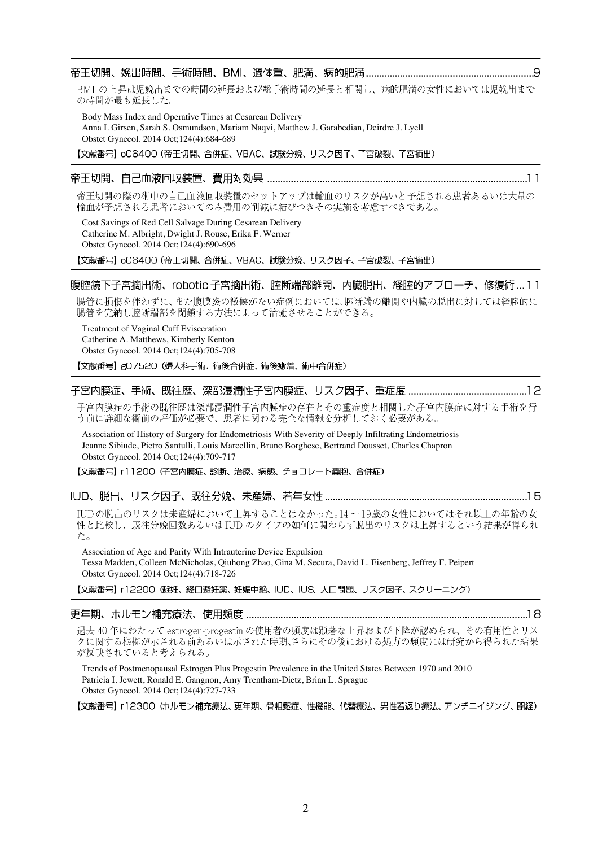# 

BMI の上昇は児娩出までの時間の延長および総手術時間の延長と相関し、病的肥満の女性においては児娩出まで の時間が最も延長した。

Body Mass Index and Operative Times at Cesarean Delivery Anna I. Girsen, Sarah S. Osmundson, Mariam Naqvi, Matthew J. Garabedian, Deirdre J. Lyell Obstet Gynecol. 2014 Oct;124(4):684-689

【文献番号】 o06400 (帝王切開、合併症、VBAC、試験分娩、リスク因子、子宮破裂、子宮摘出)

#### 

帝王切開の際の術中の自己血液回収装置のセットアップは輸血のリスクが高いと予想される患者あるいは大量の 輸血が予想される患者においてのみ費用の削減に結びつきその実施を考慮すべきである。

Cost Savings of Red Cell Salvage During Cesarean Delivery Catherine M. Albright, Dwight J. Rouse, Erika F. Werner Obstet Gynecol. 2014 Oct;124(4):690-696

【文献番号】o06400 (帝王切開、合併症、VBAC、試験分娩、リスク因子、子宮破裂、子宮摘出)

#### 腹腔鏡下子宮摘出術、robotic 子宮摘出術、腟断端部離開、内臓脱出、経腟的アプローチ、修復術 … 1 1

腸管に損傷を伴わずに、また腹膜炎の徴候がない症例においては、腟断端の離開や内臓の脱出に対しては経腟的に 腸管を完納し腟断端部を閉鎖する方法によって治癒させることができる。

Treatment of Vaginal Cuff Evisceration Catherine A. Matthews, Kimberly Kenton Obstet Gynecol. 2014 Oct;124(4):705-708

【文献番号】gO7520 (婦人科手術、術後合併症、術後癒着、術中合併症)

### 

子宮内膜症の手術の既往歴は深部浸潤性子宮内膜症の存在とその重症度と相関した子宮内膜症に対する手術を行 う前に詳細な術前の評価が必要で、患者に関わる完全な情報を分析しておく必要がある。

Association of History of Surgery for Endometriosis With Severity of Deeply Infiltrating Endometriosis Jeanne Sibiude, Pietro Santulli, Louis Marcellin, Bruno Borghese, Bertrand Dousset, Charles Chapron Obstet Gynecol. 2014 Oct;124(4):709-717

【文献番号】r11200(子宮内膜症、診断、治療、病態、チョコレート嚢胞、合併症)

IUDの脱出のリスクは未産婦において上昇することはなかった。14~19歳の女性においてはそれ以上の年齢の女 性と比較し、既往分娩回数あるいは IUD のタイプの如何に関わらず脱出のリスクは上昇するという結果が得られ た。

Association of Age and Parity With Intrauterine Device Expulsion Tessa Madden, Colleen McNicholas, Qiuhong Zhao, Gina M. Secura, David L. Eisenberg, Jeffrey F. Peipert Obstet Gynecol. 2014 Oct;124(4):718-726

【文献番号】 r12200 (避妊、経口避妊薬、妊娠中絶、IUD、IUS、人口問題、リスク因子、スクリーニング)

過去40年にわたって estrogen-progestin の使用者の頻度は顕著な上昇および下降が認められ、その有用性とリス クに関する根拠が示される前あるいは示された時期、さらにその後における処方の頻度には研究から得られた結果 が反映されていると考えられる。

Trends of Postmenopausal Estrogen Plus Progestin Prevalence in the United States Between 1970 and 2010 Patricia I. Jewett, Ronald E. Gangnon, Amy Trentham-Dietz, Brian L. Sprague Obstet Gynecol. 2014 Oct;124(4):727-733

【文献番号】 r12300 (ホルモン補充療法、更年期、骨粗鬆症、性機能、代替療法、男性若返り療法、アンチエイジング、閉経)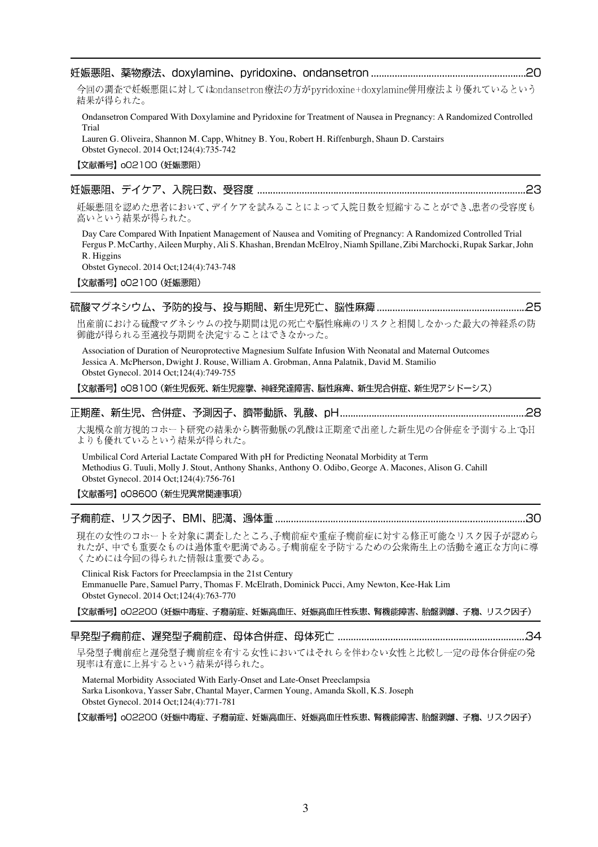| 今回の調査で妊娠悪阻に対してはondansetron療法の方がpyridoxine+doxylamine併用療法より優れているという<br>結果が得られた。                                                                                                                                                                                                                      |
|-----------------------------------------------------------------------------------------------------------------------------------------------------------------------------------------------------------------------------------------------------------------------------------------------------|
| Ondansetron Compared With Doxylamine and Pyridoxine for Treatment of Nausea in Pregnancy: A Randomized Controlled<br>Trial<br>Lauren G. Oliveira, Shannon M. Capp, Whitney B. You, Robert H. Riffenburgh, Shaun D. Carstairs<br>Obstet Gynecol. 2014 Oct;124(4):735-742                             |
| 【文献番号】 002100 (妊娠悪阻)                                                                                                                                                                                                                                                                                |
|                                                                                                                                                                                                                                                                                                     |
| 妊娠悪阻を認めた患者において、デイケアを試みることによって入院日数を短縮することができ、患者の受容度も<br>高いという結果が得られた。                                                                                                                                                                                                                                |
| Day Care Compared With Inpatient Management of Nausea and Vomiting of Pregnancy: A Randomized Controlled Trial<br>Fergus P. McCarthy, Aileen Murphy, Ali S. Khashan, Brendan McElroy, Niamh Spillane, Zibi Marchocki, Rupak Sarkar, John<br>R. Higgins<br>Obstet Gynecol. 2014 Oct; 124(4): 743-748 |
| 【文献番号】 002100 (妊娠悪阻)                                                                                                                                                                                                                                                                                |
|                                                                                                                                                                                                                                                                                                     |
| 出産前における硫酸マグネシウムの投与期間は児の死亡や脳性麻痺のリスクと相関しなかった最大の神経系の防<br>御能が得られる至適投与期間を決定することはできなかった。                                                                                                                                                                                                                  |
| Association of Duration of Neuroprotective Magnesium Sulfate Infusion With Neonatal and Maternal Outcomes<br>Jessica A. McPherson, Dwight J. Rouse, William A. Grobman, Anna Palatnik, David M. Stamilio<br>Obstet Gynecol. 2014 Oct; 124(4): 749-755                                               |
| 【文献番号】oO810O (新生児仮死、新生児痙攣、神経発達障害、脳性麻痺、新生児合併症、新生児アシドーシス)                                                                                                                                                                                                                                             |
|                                                                                                                                                                                                                                                                                                     |
| 大規模な前方視的コホート研究の結果から臍帯動脈の乳酸は正期産で出産した新生児の合併症を予測する上でH<br>よりも優れているという結果が得られた。                                                                                                                                                                                                                           |
| Umbilical Cord Arterial Lactate Compared With pH for Predicting Neonatal Morbidity at Term<br>Methodius G. Tuuli, Molly J. Stout, Anthony Shanks, Anthony O. Odibo, George A. Macones, Alison G. Cahill<br>Obstet Gynecol. 2014 Oct; 124(4): 756-761                                                |
| 【文献番号】 008600 (新生児異常関連事項)                                                                                                                                                                                                                                                                           |
|                                                                                                                                                                                                                                                                                                     |
| 現在の女性のコホートを対象に調査したところ、子癇前症や重症子癇前症に対する修正可能なリスク因子が認めら<br>れたが、中でも重要なものは過体重や肥満である。子癇前症を予防するための公衆衛生上の活動を適正な方向に導<br>くためには今回の得られた情報は重要である。                                                                                                                                                                 |
| Clinical Risk Factors for Preeclampsia in the 21st Century<br>Emmanuelle Pare, Samuel Parry, Thomas F. McElrath, Dominick Pucci, Amy Newton, Kee-Hak Lim<br>Obstet Gynecol. 2014 Oct; 124(4): 763-770                                                                                               |
| 【文献番号】o02200 (妊娠中毒症、子癇前症、妊娠高血圧、妊娠高血圧性疾患、腎機能障害、胎盤剥離、子癇、リスク因子)                                                                                                                                                                                                                                        |
|                                                                                                                                                                                                                                                                                                     |
| 早発型子癇前症と遅発型子癇前症を有する女性においてはそれらを伴わない女性と比較し一定の母体合併症の発<br>現率は有意に上昇するという結果が得られた。                                                                                                                                                                                                                         |
| Maternal Morbidity Associated With Early-Onset and Late-Onset Preeclampsia<br>Sarka Lisonkova, Yasser Sabr, Chantal Mayer, Carmen Young, Amanda Skoll, K.S. Joseph<br>Obstet Gynecol. 2014 Oct; 124(4): 771-781                                                                                     |
| 【文献番号】o02200 (妊娠中毒症、子癇前症、妊娠高血圧、妊娠高血圧性疾患、腎機能障害、胎盤剥離、子癇、リスク因子)                                                                                                                                                                                                                                        |

3